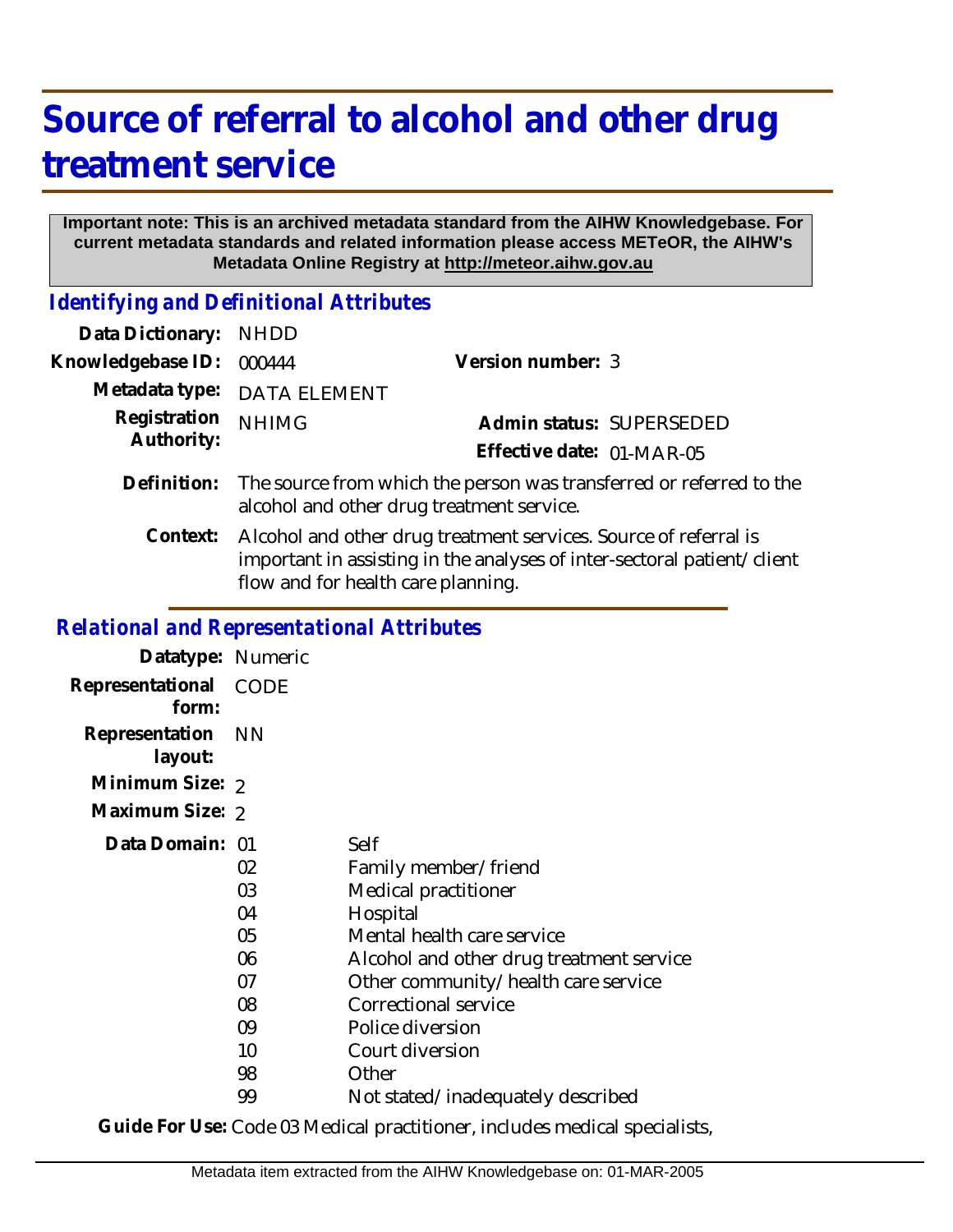## **Source of referral to alcohol and other drug treatment service**

## **Important note: This is an archived metadata standard from the AIHW Knowledgebase. For current metadata standards and related information please access METeOR, the AIHW's Metadata Online Registry at http://meteor.aihw.gov.au**

*Identifying and Definitional Attributes*

| Data Dictionary:                                  | <b>NHDD</b>                                                                                                                                                                       |                                                       |
|---------------------------------------------------|-----------------------------------------------------------------------------------------------------------------------------------------------------------------------------------|-------------------------------------------------------|
| Knowledgebase ID:                                 | 000444                                                                                                                                                                            | Version number: 3                                     |
| Metadata type:                                    | <b>DATA ELEMENT</b>                                                                                                                                                               |                                                       |
| Registration<br>Authority:                        | <b>NHIMG</b>                                                                                                                                                                      | Admin status: SUPERSEDED<br>Effective date: 01-MAR-05 |
| Definition:                                       | The source from which the person was transferred or referred to the<br>alcohol and other drug treatment service.                                                                  |                                                       |
| Context:                                          | Alcohol and other drug treatment services. Source of referral is<br>important in assisting in the analyses of inter-sectoral patient/client<br>flow and for health care planning. |                                                       |
| <b>Relational and Representational Attributes</b> |                                                                                                                                                                                   |                                                       |
| Datatype: Numeric                                 |                                                                                                                                                                                   |                                                       |
| Representational<br>form:                         | <b>CODE</b>                                                                                                                                                                       |                                                       |
| Representation<br>layout:                         | <b>NN</b>                                                                                                                                                                         |                                                       |
| Minimum Size: 2                                   |                                                                                                                                                                                   |                                                       |
|                                                   |                                                                                                                                                                                   |                                                       |

| Datatypo, indifformo      |                                              |                                                                                                                                                                                                                               |
|---------------------------|----------------------------------------------|-------------------------------------------------------------------------------------------------------------------------------------------------------------------------------------------------------------------------------|
| Representational<br>form: | <b>CODE</b>                                  |                                                                                                                                                                                                                               |
| Representation<br>layout: | - NN                                         |                                                                                                                                                                                                                               |
| Minimum Size: 2           |                                              |                                                                                                                                                                                                                               |
| Maximum Size: 2           |                                              |                                                                                                                                                                                                                               |
| Data Domain: 01           | 02<br>03<br>04<br>05<br>06<br>07<br>08<br>09 | Self<br>Family member/friend<br>Medical practitioner<br>Hospital<br>Mental health care service<br>Alcohol and other drug treatment service<br>Other community/health care service<br>Correctional service<br>Police diversion |
|                           | 10<br>98                                     | Court diversion<br>Other                                                                                                                                                                                                      |
|                           | 99                                           | Not stated/inadequately described                                                                                                                                                                                             |

**Guide For Use:** Code 03 Medical practitioner, includes medical specialists,